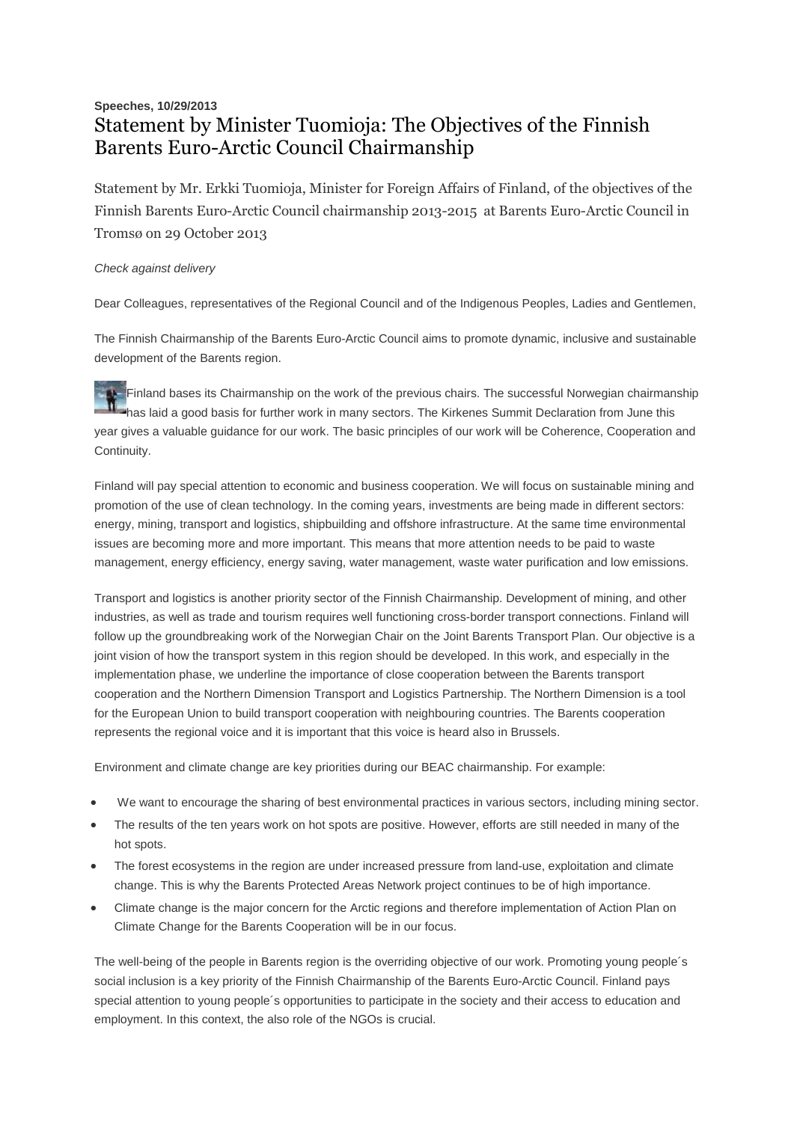## **Speeches, 10/29/2013** Statement by Minister Tuomioja: The Objectives of the Finnish Barents Euro-Arctic Council Chairmanship

Statement by Mr. Erkki Tuomioja, Minister for Foreign Affairs of Finland, of the objectives of the Finnish Barents Euro-Arctic Council chairmanship 2013-2015 at Barents Euro-Arctic Council in Tromsø on 29 October 2013

## *Check against delivery*

Dear Colleagues, representatives of the Regional Council and of the Indigenous Peoples, Ladies and Gentlemen,

The Finnish Chairmanship of the Barents Euro-Arctic Council aims to promote dynamic, inclusive and sustainable development of the Barents region.

Finland bases its Chairmanship on the work of the previous chairs. The successful Norwegian chairmanship has laid a good basis for further work in many sectors. The Kirkenes Summit Declaration from June this year gives a valuable guidance for our work. The basic principles of our work will be Coherence, Cooperation and Continuity.

Finland will pay special attention to economic and business cooperation. We will focus on sustainable mining and promotion of the use of clean technology. In the coming years, investments are being made in different sectors: energy, mining, transport and logistics, shipbuilding and offshore infrastructure. At the same time environmental issues are becoming more and more important. This means that more attention needs to be paid to waste management, energy efficiency, energy saving, water management, waste water purification and low emissions.

Transport and logistics is another priority sector of the Finnish Chairmanship. Development of mining, and other industries, as well as trade and tourism requires well functioning cross-border transport connections. Finland will follow up the groundbreaking work of the Norwegian Chair on the Joint Barents Transport Plan. Our objective is a joint vision of how the transport system in this region should be developed. In this work, and especially in the implementation phase, we underline the importance of close cooperation between the Barents transport cooperation and the Northern Dimension Transport and Logistics Partnership. The Northern Dimension is a tool for the European Union to build transport cooperation with neighbouring countries. The Barents cooperation represents the regional voice and it is important that this voice is heard also in Brussels.

Environment and climate change are key priorities during our BEAC chairmanship. For example:

- We want to encourage the sharing of best environmental practices in various sectors, including mining sector.
- The results of the ten years work on hot spots are positive. However, efforts are still needed in many of the hot spots.
- The forest ecosystems in the region are under increased pressure from land-use, exploitation and climate change. This is why the Barents Protected Areas Network project continues to be of high importance.
- Climate change is the major concern for the Arctic regions and therefore implementation of Action Plan on Climate Change for the Barents Cooperation will be in our focus.

The well-being of the people in Barents region is the overriding objective of our work. Promoting young people´s social inclusion is a key priority of the Finnish Chairmanship of the Barents Euro-Arctic Council. Finland pays special attention to young people´s opportunities to participate in the society and their access to education and employment. In this context, the also role of the NGOs is crucial.